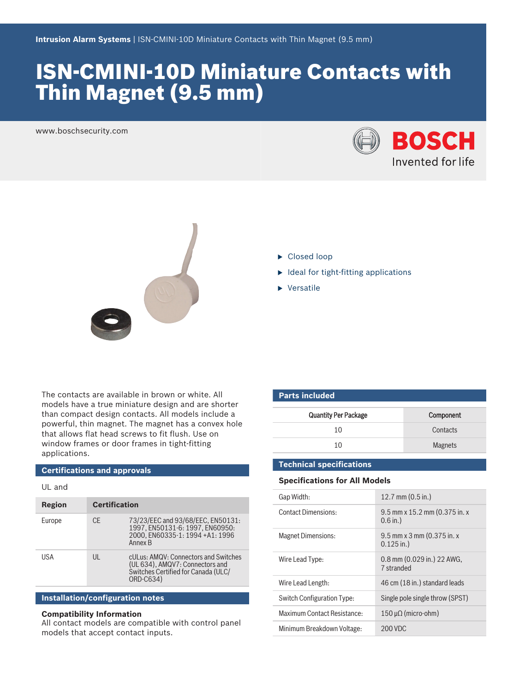# ISN‑CMINI‑10D Miniature Contacts with Thin Magnet (9.5 mm)

www.boschsecurity.com





 $\blacktriangleright$  Closed loop

**Parts included**

- $\blacktriangleright$  Ideal for tight-fitting applications
- $\blacktriangleright$  Versatile

The contacts are available in brown or white. All models have a true miniature design and are shorter than compact design contacts. All models include a powerful, thin magnet. The magnet has a convex hole that allows flat head screws to fit flush. Use on window frames or door frames in tight-fitting applications.

## **Certifications and approvals**

UL and

| Region | <b>Certification</b> |                                                                                                                             |
|--------|----------------------|-----------------------------------------------------------------------------------------------------------------------------|
| Europe | CF.                  | 73/23/EEC and 93/68/EEC, EN50131:<br>1997. EN50131-6: 1997. EN60950:<br>2000, EN60335-1: 1994 +A1: 1996<br>Annex B          |
| USA    | Ш                    | cULus: AMQV: Connectors and Switches<br>(UL 634), AMQV7: Connectors and<br>Switches Certified for Canada (ULC/<br>ORD-C634) |

### **Installation/configuration notes**

### **Compatibility Information**

All contact models are compatible with control panel models that accept contact inputs.

| <b>Quantity Per Package</b> | Component      |
|-----------------------------|----------------|
| 10                          | Contacts       |
| 10                          | <b>Magnets</b> |

#### **Technical specifications**

### **Specifications for All Models**

| Gap Width:                        | 12.7 mm $(0.5$ in.)                         |
|-----------------------------------|---------------------------------------------|
| <b>Contact Dimensions:</b>        | 9.5 mm x 15.2 mm (0.375 in. x<br>$0.6$ in.) |
| <b>Magnet Dimensions:</b>         | 9.5 mm x 3 mm (0.375 in. x<br>$0.125$ in.)  |
| Wire Lead Type:                   | 0.8 mm (0.029 in.) 22 AWG,<br>7 stranded    |
| Wire Lead Length:                 | 46 cm (18 in.) standard leads               |
| <b>Switch Configuration Type:</b> | Single pole single throw (SPST)             |
| Maximum Contact Resistance:       | $150 \mu\Omega$ (micro-ohm)                 |
| Minimum Breakdown Voltage:        | 200 VDC                                     |
|                                   |                                             |